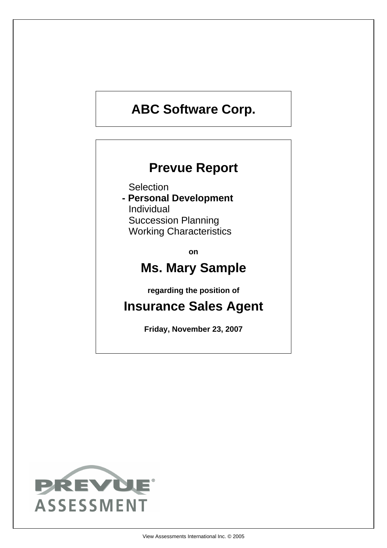# **ABC Software Corp.**

# **Prevue Report**

**Selection** 

**- Personal Development** Individual Succession Planning Working Characteristics

**on**

# **Ms. Mary Sample**

**regarding the position of**

# **Insurance Sales Agent**

**Friday, November 23, 2007**

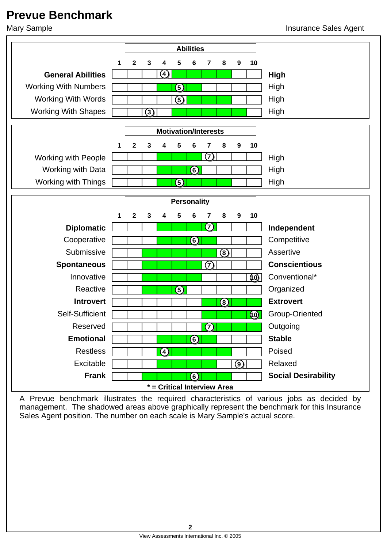# **Prevue Benchmark**



A Prevue benchmark illustrates the required characteristics of various jobs as decided by management. The shadowed areas above graphically represent the benchmark for this Insurance Sales Agent position. The number on each scale is Mary Sample's actual score.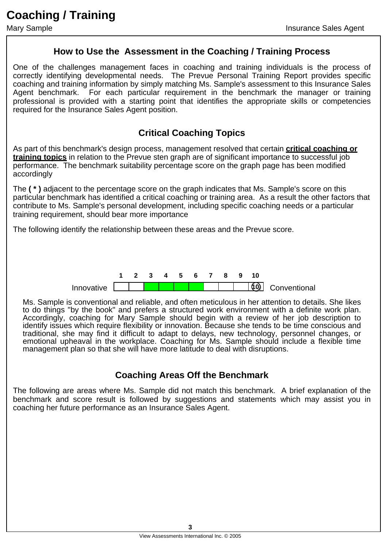#### **How to Use the Assessment in the Coaching / Training Process**

One of the challenges management faces in coaching and training individuals is the process of correctly identifying developmental needs. The Prevue Personal Training Report provides specific coaching and training information by simply matching Ms. Sample's assessment to this Insurance Sales Agent benchmark. For each particular requirement in the benchmark the manager or training professional is provided with a starting point that identifies the appropriate skills or competencies required for the Insurance Sales Agent position.

#### **Critical Coaching Topics**

As part of this benchmark's design process, management resolved that certain **critical coaching or training topics** in relation to the Prevue sten graph are of significant importance to successful job performance. The benchmark suitability percentage score on the graph page has been modified accordingly

The **( \* )** adjacent to the percentage score on the graph indicates that Ms. Sample's score on this particular benchmark has identified a critical coaching or training area. As a result the other factors that contribute to Ms. Sample's personal development, including specific coaching needs or a particular training requirement, should bear more importance

The following identify the relationship between these areas and the Prevue score.



Ms. Sample is conventional and reliable, and often meticulous in her attention to details. She likes to do things "by the book" and prefers a structured work environment with a definite work plan. Accordingly, coaching for Mary Sample should begin with a review of her job description to identify issues which require flexibility or innovation. Because she tends to be time conscious and traditional, she may find it difficult to adapt to delays, new technology, personnel changes, or emotional upheaval in the workplace. Coaching for Ms. Sample should include a flexible time management plan so that she will have more latitude to deal with disruptions.

#### **Coaching Areas Off the Benchmark**

The following are areas where Ms. Sample did not match this benchmark. A brief explanation of the benchmark and score result is followed by suggestions and statements which may assist you in coaching her future performance as an Insurance Sales Agent.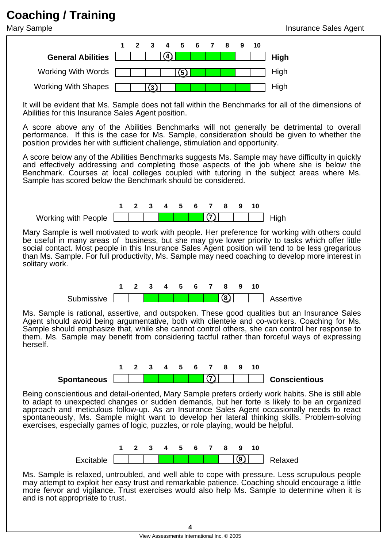# **Coaching / Training**



It will be evident that Ms. Sample does not fall within the Benchmarks for all of the dimensions of Abilities for this Insurance Sales Agent position.

A score above any of the Abilities Benchmarks will not generally be detrimental to overall performance. If this is the case for Ms. Sample, consideration should be given to whether the position provides her with sufficient challenge, stimulation and opportunity.

A score below any of the Abilities Benchmarks suggests Ms. Sample may have difficulty in quickly and effectively addressing and completing those aspects of the job where she is below the Benchmark. Courses at local colleges coupled with tutoring in the subject areas where Ms. Sample has scored below the Benchmark should be considered.



Mary Sample is well motivated to work with people. Her preference for working with others could be useful in many areas of business, but she may give lower priority to tasks which offer little social contact. Most people in this Insurance Sales Agent position will tend to be less gregarious than Ms. Sample. For full productivity, Ms. Sample may need coaching to develop more interest in solitary work.



Ms. Sample is rational, assertive, and outspoken. These good qualities but an Insurance Sales Agent should avoid being argumentative, both with clientele and co-workers. Coaching for Ms. Sample should emphasize that, while she cannot control others, she can control her response to them. Ms. Sample may benefit from considering tactful rather than forceful ways of expressing herself.



Being conscientious and detail-oriented, Mary Sample prefers orderly work habits. She is still able to adapt to unexpected changes or sudden demands, but her forte is likely to be an organized approach and meticulous follow-up. As an Insurance Sales Agent occasionally needs to react spontaneously, Ms. Sample might want to develop her lateral thinking skills. Problem-solving exercises, especially games of logic, puzzles, or role playing, would be helpful.



Ms. Sample is relaxed, untroubled, and well able to cope with pressure. Less scrupulous people may attempt to exploit her easy trust and remarkable patience. Coaching should encourage a little more fervor and vigilance. Trust exercises would also help Ms. Sample to determine when it is and is not appropriate to trust.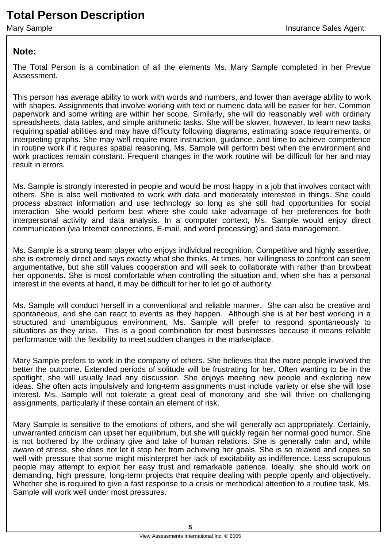# **Total Person Description**

#### **Note:**

The Total Person is a combination of all the elements Ms. Mary Sample completed in her Prevue Assessment.

This person has average ability to work with words and numbers, and lower than average ability to work with shapes. Assignments that involve working with text or numeric data will be easier for her. Common paperwork and some writing are within her scope. Similarly, she will do reasonably well with ordinary spreadsheets, data tables, and simple arithmetic tasks. She will be slower, however, to learn new tasks requiring spatial abilities and may have difficulty following diagrams, estimating space requirements, or interpreting graphs. She may well require more instruction, guidance, and time to achieve competence in routine work if it requires spatial reasoning. Ms. Sample will perform best when the environment and work practices remain constant. Frequent changes in the work routine will be difficult for her and may result in errors.

Ms. Sample is strongly interested in people and would be most happy in a job that involves contact with others. She is also well motivated to work with data and moderately interested in things. She could process abstract information and use technology so long as she still had opportunities for social interaction. She would perform best where she could take advantage of her preferences for both interpersonal activity and data analysis. In a computer context, Ms. Sample would enjoy direct communication (via Internet connections, E-mail, and word processing) and data management.

Ms. Sample is a strong team player who enjoys individual recognition. Competitive and highly assertive, she is extremely direct and says exactly what she thinks. At times, her willingness to confront can seem argumentative, but she still values cooperation and will seek to collaborate with rather than browbeat her opponents. She is most comfortable when controlling the situation and, when she has a personal interest in the events at hand, it may be difficult for her to let go of authority.

Ms. Sample will conduct herself in a conventional and reliable manner. She can also be creative and spontaneous, and she can react to events as they happen. Although she is at her best working in a structured and unambiguous environment, Ms. Sample will prefer to respond spontaneously to situations as they arise. This is a good combination for most businesses because it means reliable performance with the flexibility to meet sudden changes in the marketplace.

Mary Sample prefers to work in the company of others. She believes that the more people involved the better the outcome. Extended periods of solitude will be frustrating for her. Often wanting to be in the spotlight, she will usually lead any discussion. She enjoys meeting new people and exploring new ideas. She often acts impulsively and long-term assignments must include variety or else she will lose interest. Ms. Sample will not tolerate a great deal of monotony and she will thrive on challenging assignments, particularly if these contain an element of risk.

Mary Sample is sensitive to the emotions of others, and she will generally act appropriately. Certainly, unwarranted criticism can upset her equilibrium, but she will quickly regain her normal good humor. She is not bothered by the ordinary give and take of human relations. She is generally calm and, while aware of stress, she does not let it stop her from achieving her goals. She is so relaxed and copes so well with pressure that some might misinterpret her lack of excitability as indifference. Less scrupulous people may attempt to exploit her easy trust and remarkable patience. Ideally, she should work on demanding, high pressure, long-term projects that require dealing with people openly and objectively. Whether she is required to give a fast response to a crisis or methodical attention to a routine task, Ms. Sample will work well under most pressures.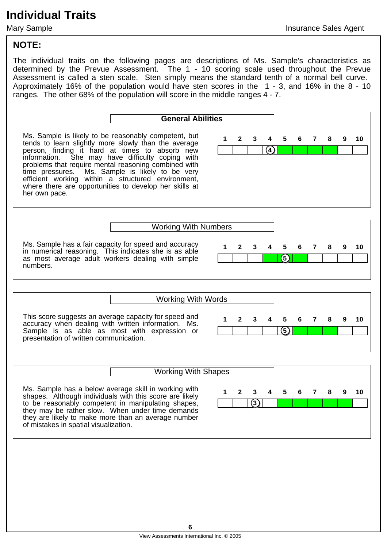#### **NOTE:**

The individual traits on the following pages are descriptions of Ms. Sample's characteristics as determined by the Prevue Assessment. The 1 - 10 scoring scale used throughout the Prevue Assessment is called a sten scale. Sten simply means the standard tenth of a normal bell curve. Approximately 16% of the population would have sten scores in the 1 - 3, and 16% in the 8 - 10 ranges. The other 68% of the population will score in the middle ranges 4 - 7.

**General Abilities** Ms. Sample is likely to be reasonably competent, but tends to learn slightly more slowly than the average person, finding it hard at times to absorb new<br>information. She may have difficulty coping with She may have difficulty coping with problems that require mental reasoning combined with time pressures. Ms. Sample is likely to be very efficient working within a structured environment, where there are opportunities to develop her skills at her own pace. **4 1 2 3 4 5 6 7 8 9 10** Working With Numbers Ms. Sample has a fair capacity for speed and accuracy in numerical reasoning. This indicates she is as able as most average adult workers dealing with simple numbers. **5 1 2 3 4 5 6 7 8 9 10** Working With Words This score suggests an average capacity for speed and accuracy when dealing with written information. Ms. Sample is as able as most with expression or presentation of written communication. **5 1 2 3 4 5 6 7 8 9 10** Working With Shapes Ms. Sample has a below average skill in working with shapes. Although individuals with this score are likely to be reasonably competent in manipulating shapes, they may be rather slow. When under time demands they are likely to make more than an average number of mistakes in spatial visualization. **3 1 2 3 4 5 6 7 8 9 10**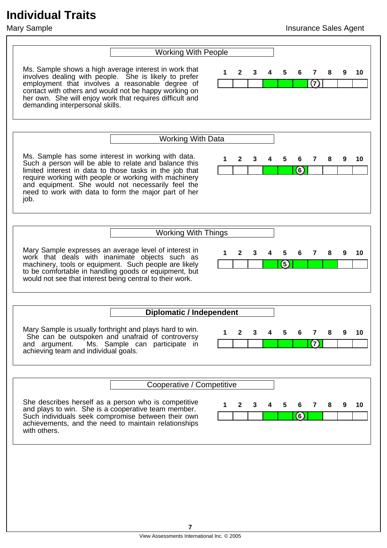| <b>Working With People</b>                                                                                                                                                                                                                                                                                                                           |                             |                               |
|------------------------------------------------------------------------------------------------------------------------------------------------------------------------------------------------------------------------------------------------------------------------------------------------------------------------------------------------------|-----------------------------|-------------------------------|
| Ms. Sample shows a high average interest in work that<br>involves dealing with people. She is likely to prefer<br>employment that involves a reasonable degree of<br>contact with others and would not be happy working on<br>her own. She will enjoy work that requires difficult and<br>demanding interpersonal skills.                            | 1<br>5<br>2<br>3            | 10<br>6<br>7<br>9<br>(7)      |
|                                                                                                                                                                                                                                                                                                                                                      |                             |                               |
| <b>Working With Data</b>                                                                                                                                                                                                                                                                                                                             |                             |                               |
| Ms. Sample has some interest in working with data.<br>Such a person will be able to relate and balance this<br>limited interest in data to those tasks in the job that<br>require working with people or working with machinery<br>and equipment. She would not necessarily feel the<br>need to work with data to form the major part of her<br>job. | 1<br>2<br>3<br>5            | 7<br>8<br>9<br>10<br>6<br>(6) |
|                                                                                                                                                                                                                                                                                                                                                      |                             |                               |
| <b>Working With Things</b>                                                                                                                                                                                                                                                                                                                           |                             |                               |
| Mary Sample expresses an average level of interest in<br>work that deals with inanimate objects such as<br>machinery, tools or equipment. Such people are likely<br>to be comfortable in handling goods or equipment, but<br>would not see that interest being central to their work.                                                                | 1<br>2<br>3<br>5<br>(5)     | 7<br>9<br>10<br>6<br>8        |
|                                                                                                                                                                                                                                                                                                                                                      |                             |                               |
| <b>Diplomatic / Independent</b>                                                                                                                                                                                                                                                                                                                      |                             |                               |
| Mary Sample is usually forthright and plays hard to win.<br>She can be outspoken and unafraid of controversy<br>Ms. Sample can participate in<br>and argument.<br>achieving team and individual goals.                                                                                                                                               |                             | (7)                           |
|                                                                                                                                                                                                                                                                                                                                                      |                             |                               |
| Cooperative / Competitive                                                                                                                                                                                                                                                                                                                            |                             |                               |
| She describes herself as a person who is competitive<br>and plays to win. She is a cooperative team member.<br>Such individuals seek compromise between their own<br>achievements, and the need to maintain relationships<br>with others.                                                                                                            | 1<br>$\mathbf{2}$<br>5<br>3 | 7<br>10<br>6<br>8<br>9<br>(6) |
|                                                                                                                                                                                                                                                                                                                                                      |                             |                               |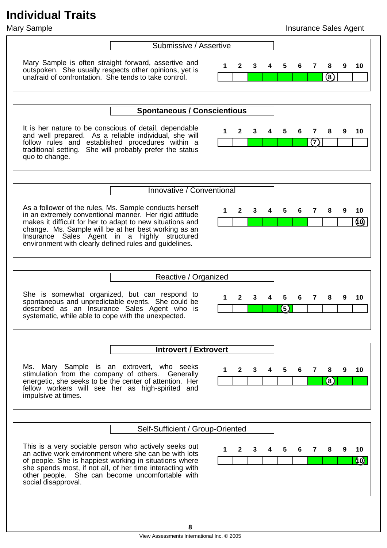#### Mary Sample **Insurance Sales Agent**

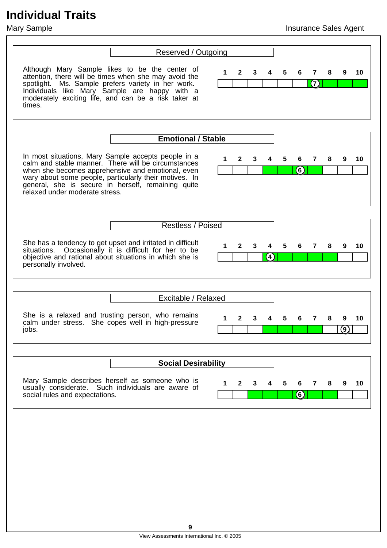#### Mary Sample **Insurance Sales Agent**